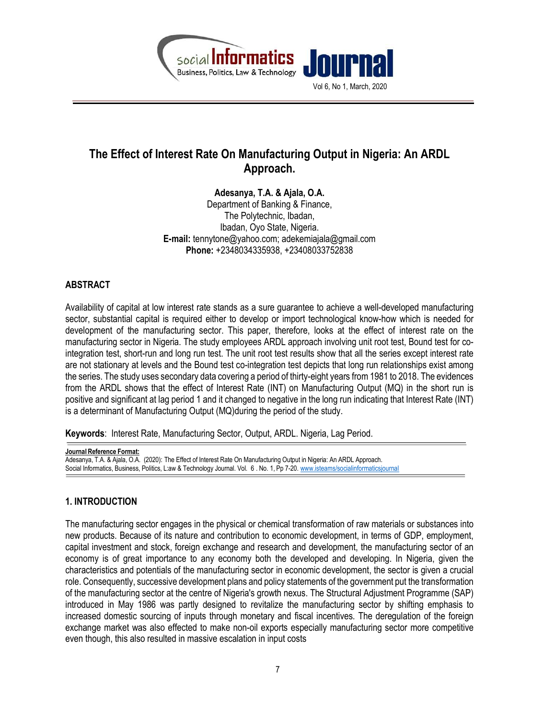

# The Effect of Interest Rate On Manufacturing Output in Nigeria: An ARDL Approach.

Adesanya, T.A. & Ajala, O.A. Department of Banking & Finance, The Polytechnic, Ibadan, Ibadan, Oyo State, Nigeria. E-mail: tennytone@yahoo.com; adekemiajala@gmail.com Phone: +2348034335938, +23408033752838

# ABSTRACT

Availability of capital at low interest rate stands as a sure guarantee to achieve a well-developed manufacturing sector, substantial capital is required either to develop or import technological know-how which is needed for development of the manufacturing sector. This paper, therefore, looks at the effect of interest rate on the manufacturing sector in Nigeria. The study employees ARDL approach involving unit root test, Bound test for cointegration test, short-run and long run test. The unit root test results show that all the series except interest rate are not stationary at levels and the Bound test co-integration test depicts that long run relationships exist among the series. The study uses secondary data covering a period of thirty-eight years from 1981 to 2018. The evidences from the ARDL shows that the effect of Interest Rate (INT) on Manufacturing Output (MQ) in the short run is positive and significant at lag period 1 and it changed to negative in the long run indicating that Interest Rate (INT) is a determinant of Manufacturing Output (MQ)during the period of the study.

Keywords: Interest Rate, Manufacturing Sector, Output, ARDL. Nigeria, Lag Period.

Journal Reference Format: Adesanya, T.A. & Ajala, O.A. (2020): The Effect of Interest Rate On Manufacturing Output in Nigeria: An ARDL Approach. Social Informatics, Business, Politics, L:aw & Technology Journal. Vol. 6 . No. 1, Pp 7-20. www.isteams/socialinformaticsjournal

# 1. INTRODUCTION

The manufacturing sector engages in the physical or chemical transformation of raw materials or substances into new products. Because of its nature and contribution to economic development, in terms of GDP, employment, capital investment and stock, foreign exchange and research and development, the manufacturing sector of an economy is of great importance to any economy both the developed and developing. In Nigeria, given the characteristics and potentials of the manufacturing sector in economic development, the sector is given a crucial role. Consequently, successive development plans and policy statements of the government put the transformation of the manufacturing sector at the centre of Nigeria's growth nexus. The Structural Adjustment Programme (SAP) introduced in May 1986 was partly designed to revitalize the manufacturing sector by shifting emphasis to increased domestic sourcing of inputs through monetary and fiscal incentives. The deregulation of the foreign exchange market was also effected to make non-oil exports especially manufacturing sector more competitive even though, this also resulted in massive escalation in input costs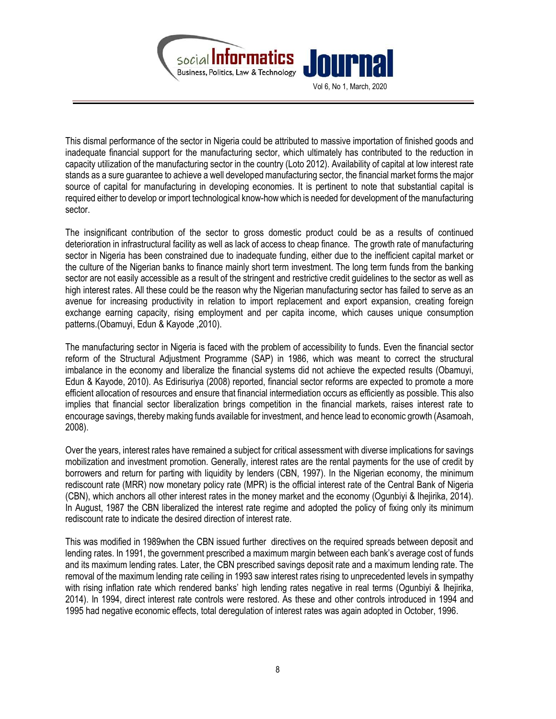

This dismal performance of the sector in Nigeria could be attributed to massive importation of finished goods and inadequate financial support for the manufacturing sector, which ultimately has contributed to the reduction in capacity utilization of the manufacturing sector in the country (Loto 2012). Availability of capital at low interest rate stands as a sure guarantee to achieve a well developed manufacturing sector, the financial market forms the major source of capital for manufacturing in developing economies. It is pertinent to note that substantial capital is required either to develop or import technological know-how which is needed for development of the manufacturing sector.

The insignificant contribution of the sector to gross domestic product could be as a results of continued deterioration in infrastructural facility as well as lack of access to cheap finance. The growth rate of manufacturing sector in Nigeria has been constrained due to inadequate funding, either due to the inefficient capital market or the culture of the Nigerian banks to finance mainly short term investment. The long term funds from the banking sector are not easily accessible as a result of the stringent and restrictive credit guidelines to the sector as well as high interest rates. All these could be the reason why the Nigerian manufacturing sector has failed to serve as an avenue for increasing productivity in relation to import replacement and export expansion, creating foreign exchange earning capacity, rising employment and per capita income, which causes unique consumption patterns.(Obamuyi, Edun & Kayode ,2010).

The manufacturing sector in Nigeria is faced with the problem of accessibility to funds. Even the financial sector reform of the Structural Adjustment Programme (SAP) in 1986, which was meant to correct the structural imbalance in the economy and liberalize the financial systems did not achieve the expected results (Obamuyi, Edun & Kayode, 2010). As Edirisuriya (2008) reported, financial sector reforms are expected to promote a more efficient allocation of resources and ensure that financial intermediation occurs as efficiently as possible. This also implies that financial sector liberalization brings competition in the financial markets, raises interest rate to encourage savings, thereby making funds available for investment, and hence lead to economic growth (Asamoah, 2008).

Over the years, interest rates have remained a subject for critical assessment with diverse implications for savings mobilization and investment promotion. Generally, interest rates are the rental payments for the use of credit by borrowers and return for parting with liquidity by lenders (CBN, 1997). In the Nigerian economy, the minimum rediscount rate (MRR) now monetary policy rate (MPR) is the official interest rate of the Central Bank of Nigeria (CBN), which anchors all other interest rates in the money market and the economy (Ogunbiyi & Ihejirika, 2014). In August, 1987 the CBN liberalized the interest rate regime and adopted the policy of fixing only its minimum rediscount rate to indicate the desired direction of interest rate.

This was modified in 1989when the CBN issued further directives on the required spreads between deposit and lending rates. In 1991, the government prescribed a maximum margin between each bank's average cost of funds and its maximum lending rates. Later, the CBN prescribed savings deposit rate and a maximum lending rate. The removal of the maximum lending rate ceiling in 1993 saw interest rates rising to unprecedented levels in sympathy with rising inflation rate which rendered banks' high lending rates negative in real terms (Ogunbiyi & Ihejirika, 2014). In 1994, direct interest rate controls were restored. As these and other controls introduced in 1994 and 1995 had negative economic effects, total deregulation of interest rates was again adopted in October, 1996.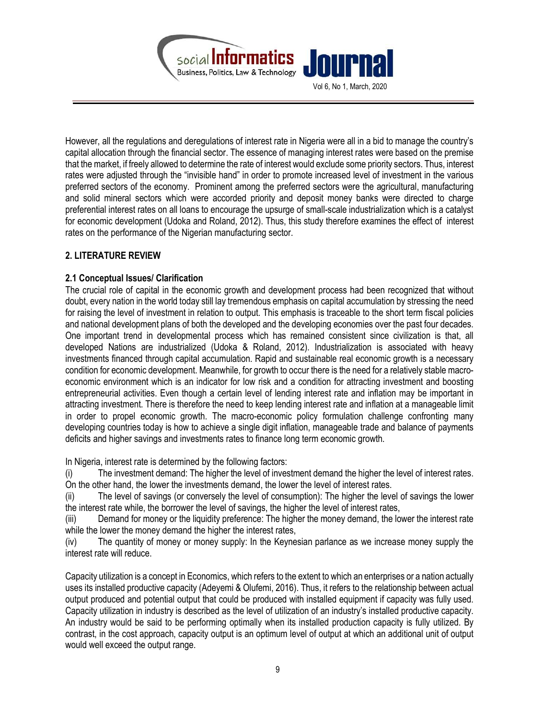

However, all the regulations and deregulations of interest rate in Nigeria were all in a bid to manage the country's capital allocation through the financial sector. The essence of managing interest rates were based on the premise that the market, if freely allowed to determine the rate of interest would exclude some priority sectors. Thus, interest rates were adjusted through the "invisible hand" in order to promote increased level of investment in the various preferred sectors of the economy. Prominent among the preferred sectors were the agricultural, manufacturing and solid mineral sectors which were accorded priority and deposit money banks were directed to charge preferential interest rates on all loans to encourage the upsurge of small-scale industrialization which is a catalyst for economic development (Udoka and Roland, 2012). Thus, this study therefore examines the effect of interest rates on the performance of the Nigerian manufacturing sector.

# 2. LITERATURE REVIEW

## 2.1 Conceptual Issues/ Clarification

The crucial role of capital in the economic growth and development process had been recognized that without doubt, every nation in the world today still lay tremendous emphasis on capital accumulation by stressing the need for raising the level of investment in relation to output. This emphasis is traceable to the short term fiscal policies and national development plans of both the developed and the developing economies over the past four decades. One important trend in developmental process which has remained consistent since civilization is that, all developed Nations are industrialized (Udoka & Roland, 2012). Industrialization is associated with heavy investments financed through capital accumulation. Rapid and sustainable real economic growth is a necessary condition for economic development. Meanwhile, for growth to occur there is the need for a relatively stable macroeconomic environment which is an indicator for low risk and a condition for attracting investment and boosting entrepreneurial activities. Even though a certain level of lending interest rate and inflation may be important in attracting investment. There is therefore the need to keep lending interest rate and inflation at a manageable limit in order to propel economic growth. The macro-economic policy formulation challenge confronting many developing countries today is how to achieve a single digit inflation, manageable trade and balance of payments deficits and higher savings and investments rates to finance long term economic growth.

In Nigeria, interest rate is determined by the following factors:

(i) The investment demand: The higher the level of investment demand the higher the level of interest rates. On the other hand, the lower the investments demand, the lower the level of interest rates.

(ii) The level of savings (or conversely the level of consumption): The higher the level of savings the lower the interest rate while, the borrower the level of savings, the higher the level of interest rates,

(iii) Demand for money or the liquidity preference: The higher the money demand, the lower the interest rate while the lower the money demand the higher the interest rates,

(iv) The quantity of money or money supply: In the Keynesian parlance as we increase money supply the interest rate will reduce.

Capacity utilization is a concept in Economics, which refers to the extent to which an enterprises or a nation actually uses its installed productive capacity (Adeyemi & Olufemi, 2016). Thus, it refers to the relationship between actual output produced and potential output that could be produced with installed equipment if capacity was fully used. Capacity utilization in industry is described as the level of utilization of an industry's installed productive capacity. An industry would be said to be performing optimally when its installed production capacity is fully utilized. By contrast, in the cost approach, capacity output is an optimum level of output at which an additional unit of output would well exceed the output range.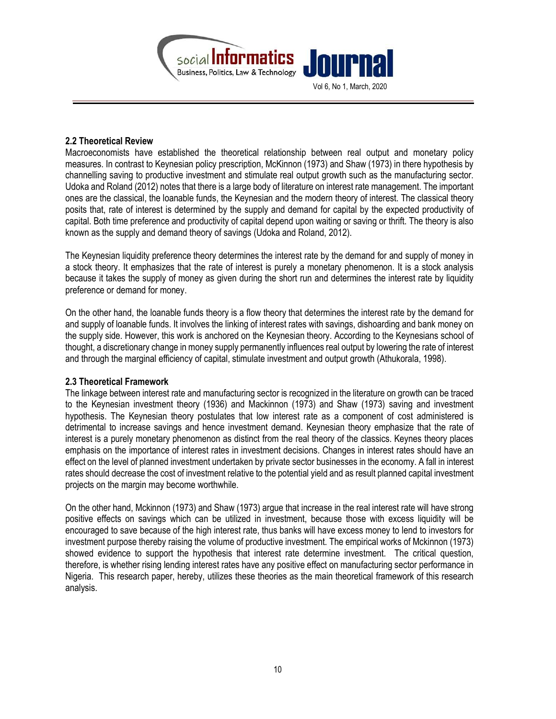

#### 2.2 Theoretical Review

Macroeconomists have established the theoretical relationship between real output and monetary policy measures. In contrast to Keynesian policy prescription, McKinnon (1973) and Shaw (1973) in there hypothesis by channelling saving to productive investment and stimulate real output growth such as the manufacturing sector. Udoka and Roland (2012) notes that there is a large body of literature on interest rate management. The important ones are the classical, the loanable funds, the Keynesian and the modern theory of interest. The classical theory posits that, rate of interest is determined by the supply and demand for capital by the expected productivity of capital. Both time preference and productivity of capital depend upon waiting or saving or thrift. The theory is also known as the supply and demand theory of savings (Udoka and Roland, 2012).

The Keynesian liquidity preference theory determines the interest rate by the demand for and supply of money in a stock theory. It emphasizes that the rate of interest is purely a monetary phenomenon. It is a stock analysis because it takes the supply of money as given during the short run and determines the interest rate by liquidity preference or demand for money.

On the other hand, the loanable funds theory is a flow theory that determines the interest rate by the demand for and supply of loanable funds. It involves the linking of interest rates with savings, dishoarding and bank money on the supply side. However, this work is anchored on the Keynesian theory. According to the Keynesians school of thought, a discretionary change in money supply permanently influences real output by lowering the rate of interest and through the marginal efficiency of capital, stimulate investment and output growth (Athukorala, 1998).

# 2.3 Theoretical Framework

The linkage between interest rate and manufacturing sector is recognized in the literature on growth can be traced to the Keynesian investment theory (1936) and Mackinnon (1973) and Shaw (1973) saving and investment hypothesis. The Keynesian theory postulates that low interest rate as a component of cost administered is detrimental to increase savings and hence investment demand. Keynesian theory emphasize that the rate of interest is a purely monetary phenomenon as distinct from the real theory of the classics. Keynes theory places emphasis on the importance of interest rates in investment decisions. Changes in interest rates should have an effect on the level of planned investment undertaken by private sector businesses in the economy. A fall in interest rates should decrease the cost of investment relative to the potential yield and as result planned capital investment projects on the margin may become worthwhile.

On the other hand, Mckinnon (1973) and Shaw (1973) argue that increase in the real interest rate will have strong positive effects on savings which can be utilized in investment, because those with excess liquidity will be encouraged to save because of the high interest rate, thus banks will have excess money to lend to investors for investment purpose thereby raising the volume of productive investment. The empirical works of Mckinnon (1973) showed evidence to support the hypothesis that interest rate determine investment. The critical question, therefore, is whether rising lending interest rates have any positive effect on manufacturing sector performance in Nigeria. This research paper, hereby, utilizes these theories as the main theoretical framework of this research analysis.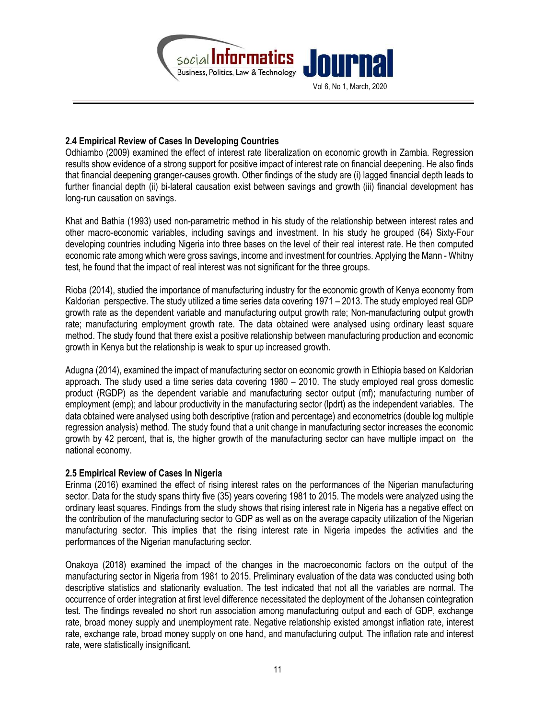

## 2.4 Empirical Review of Cases In Developing Countries

Odhiambo (2009) examined the effect of interest rate liberalization on economic growth in Zambia. Regression results show evidence of a strong support for positive impact of interest rate on financial deepening. He also finds that financial deepening granger-causes growth. Other findings of the study are (i) lagged financial depth leads to further financial depth (ii) bi-lateral causation exist between savings and growth (iii) financial development has long-run causation on savings.

Khat and Bathia (1993) used non-parametric method in his study of the relationship between interest rates and other macro-economic variables, including savings and investment. In his study he grouped (64) Sixty-Four developing countries including Nigeria into three bases on the level of their real interest rate. He then computed economic rate among which were gross savings, income and investment for countries. Applying the Mann - Whitny test, he found that the impact of real interest was not significant for the three groups.

Rioba (2014), studied the importance of manufacturing industry for the economic growth of Kenya economy from Kaldorian perspective. The study utilized a time series data covering 1971 – 2013. The study employed real GDP growth rate as the dependent variable and manufacturing output growth rate; Non-manufacturing output growth rate; manufacturing employment growth rate. The data obtained were analysed using ordinary least square method. The study found that there exist a positive relationship between manufacturing production and economic growth in Kenya but the relationship is weak to spur up increased growth.

Adugna (2014), examined the impact of manufacturing sector on economic growth in Ethiopia based on Kaldorian approach. The study used a time series data covering 1980 – 2010. The study employed real gross domestic product (RGDP) as the dependent variable and manufacturing sector output (mf); manufacturing number of employment (emp); and labour productivity in the manufacturing sector (lpdrt) as the independent variables. The data obtained were analysed using both descriptive (ration and percentage) and econometrics (double log multiple regression analysis) method. The study found that a unit change in manufacturing sector increases the economic growth by 42 percent, that is, the higher growth of the manufacturing sector can have multiple impact on the national economy.

#### 2.5 Empirical Review of Cases In Nigeria

Erinma (2016) examined the effect of rising interest rates on the performances of the Nigerian manufacturing sector. Data for the study spans thirty five (35) years covering 1981 to 2015. The models were analyzed using the ordinary least squares. Findings from the study shows that rising interest rate in Nigeria has a negative effect on the contribution of the manufacturing sector to GDP as well as on the average capacity utilization of the Nigerian manufacturing sector. This implies that the rising interest rate in Nigeria impedes the activities and the performances of the Nigerian manufacturing sector.

Onakoya (2018) examined the impact of the changes in the macroeconomic factors on the output of the manufacturing sector in Nigeria from 1981 to 2015. Preliminary evaluation of the data was conducted using both descriptive statistics and stationarity evaluation. The test indicated that not all the variables are normal. The occurrence of order integration at first level difference necessitated the deployment of the Johansen cointegration test. The findings revealed no short run association among manufacturing output and each of GDP, exchange rate, broad money supply and unemployment rate. Negative relationship existed amongst inflation rate, interest rate, exchange rate, broad money supply on one hand, and manufacturing output. The inflation rate and interest rate, were statistically insignificant.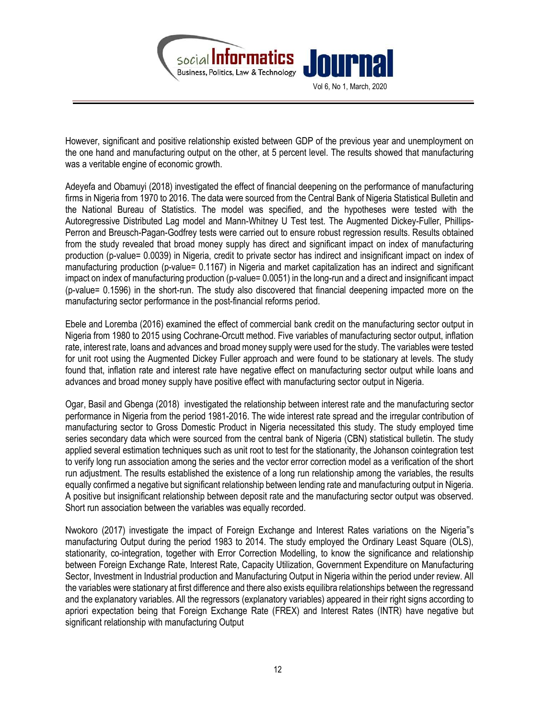

However, significant and positive relationship existed between GDP of the previous year and unemployment on the one hand and manufacturing output on the other, at 5 percent level. The results showed that manufacturing was a veritable engine of economic growth.

Adeyefa and Obamuyi (2018) investigated the effect of financial deepening on the performance of manufacturing firms in Nigeria from 1970 to 2016. The data were sourced from the Central Bank of Nigeria Statistical Bulletin and the National Bureau of Statistics. The model was specified, and the hypotheses were tested with the Autoregressive Distributed Lag model and Mann-Whitney U Test test. The Augmented Dickey-Fuller, Phillips-Perron and Breusch-Pagan-Godfrey tests were carried out to ensure robust regression results. Results obtained from the study revealed that broad money supply has direct and significant impact on index of manufacturing production (p-value= 0.0039) in Nigeria, credit to private sector has indirect and insignificant impact on index of manufacturing production (p-value= 0.1167) in Nigeria and market capitalization has an indirect and significant impact on index of manufacturing production (p-value= 0.0051) in the long-run and a direct and insignificant impact (p-value= 0.1596) in the short-run. The study also discovered that financial deepening impacted more on the manufacturing sector performance in the post-financial reforms period.

Ebele and Loremba (2016) examined the effect of commercial bank credit on the manufacturing sector output in Nigeria from 1980 to 2015 using Cochrane-Orcutt method. Five variables of manufacturing sector output, inflation rate, interest rate, loans and advances and broad money supply were used for the study. The variables were tested for unit root using the Augmented Dickey Fuller approach and were found to be stationary at levels. The study found that, inflation rate and interest rate have negative effect on manufacturing sector output while loans and advances and broad money supply have positive effect with manufacturing sector output in Nigeria.

Ogar, Basil and Gbenga (2018) investigated the relationship between interest rate and the manufacturing sector performance in Nigeria from the period 1981-2016. The wide interest rate spread and the irregular contribution of manufacturing sector to Gross Domestic Product in Nigeria necessitated this study. The study employed time series secondary data which were sourced from the central bank of Nigeria (CBN) statistical bulletin. The study applied several estimation techniques such as unit root to test for the stationarity, the Johanson cointegration test to verify long run association among the series and the vector error correction model as a verification of the short run adjustment. The results established the existence of a long run relationship among the variables, the results equally confirmed a negative but significant relationship between lending rate and manufacturing output in Nigeria. A positive but insignificant relationship between deposit rate and the manufacturing sector output was observed. Short run association between the variables was equally recorded.

Nwokoro (2017) investigate the impact of Foreign Exchange and Interest Rates variations on the Nigeria"s manufacturing Output during the period 1983 to 2014. The study employed the Ordinary Least Square (OLS), stationarity, co-integration, together with Error Correction Modelling, to know the significance and relationship between Foreign Exchange Rate, Interest Rate, Capacity Utilization, Government Expenditure on Manufacturing Sector, Investment in Industrial production and Manufacturing Output in Nigeria within the period under review. All the variables were stationary at first difference and there also exists equilibra relationships between the regressand and the explanatory variables. All the regressors (explanatory variables) appeared in their right signs according to apriori expectation being that Foreign Exchange Rate (FREX) and Interest Rates (INTR) have negative but significant relationship with manufacturing Output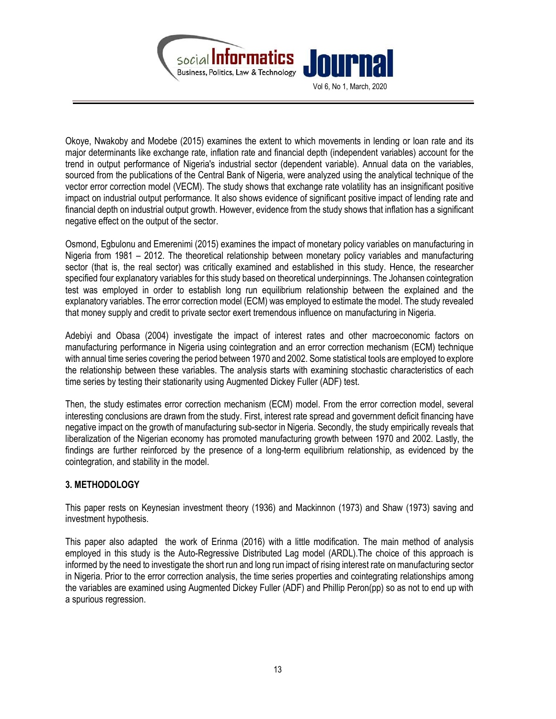

Vol 6, No 1, March, 2020

Okoye, Nwakoby and Modebe (2015) examines the extent to which movements in lending or loan rate and its major determinants like exchange rate, inflation rate and financial depth (independent variables) account for the trend in output performance of Nigeria's industrial sector (dependent variable). Annual data on the variables, sourced from the publications of the Central Bank of Nigeria, were analyzed using the analytical technique of the vector error correction model (VECM). The study shows that exchange rate volatility has an insignificant positive impact on industrial output performance. It also shows evidence of significant positive impact of lending rate and financial depth on industrial output growth. However, evidence from the study shows that inflation has a significant negative effect on the output of the sector.

Osmond, Egbulonu and Emerenimi (2015) examines the impact of monetary policy variables on manufacturing in Nigeria from 1981 – 2012. The theoretical relationship between monetary policy variables and manufacturing sector (that is, the real sector) was critically examined and established in this study. Hence, the researcher specified four explanatory variables for this study based on theoretical underpinnings. The Johansen cointegration test was employed in order to establish long run equilibrium relationship between the explained and the explanatory variables. The error correction model (ECM) was employed to estimate the model. The study revealed that money supply and credit to private sector exert tremendous influence on manufacturing in Nigeria.

Adebiyi and Obasa (2004) investigate the impact of interest rates and other macroeconomic factors on manufacturing performance in Nigeria using cointegration and an error correction mechanism (ECM) technique with annual time series covering the period between 1970 and 2002. Some statistical tools are employed to explore the relationship between these variables. The analysis starts with examining stochastic characteristics of each time series by testing their stationarity using Augmented Dickey Fuller (ADF) test.

Then, the study estimates error correction mechanism (ECM) model. From the error correction model, several interesting conclusions are drawn from the study. First, interest rate spread and government deficit financing have negative impact on the growth of manufacturing sub-sector in Nigeria. Secondly, the study empirically reveals that liberalization of the Nigerian economy has promoted manufacturing growth between 1970 and 2002. Lastly, the findings are further reinforced by the presence of a long-term equilibrium relationship, as evidenced by the cointegration, and stability in the model.

# 3. METHODOLOGY

This paper rests on Keynesian investment theory (1936) and Mackinnon (1973) and Shaw (1973) saving and investment hypothesis.

This paper also adapted the work of Erinma (2016) with a little modification. The main method of analysis employed in this study is the Auto-Regressive Distributed Lag model (ARDL).The choice of this approach is informed by the need to investigate the short run and long run impact of rising interest rate on manufacturing sector in Nigeria. Prior to the error correction analysis, the time series properties and cointegrating relationships among the variables are examined using Augmented Dickey Fuller (ADF) and Phillip Peron(pp) so as not to end up with a spurious regression.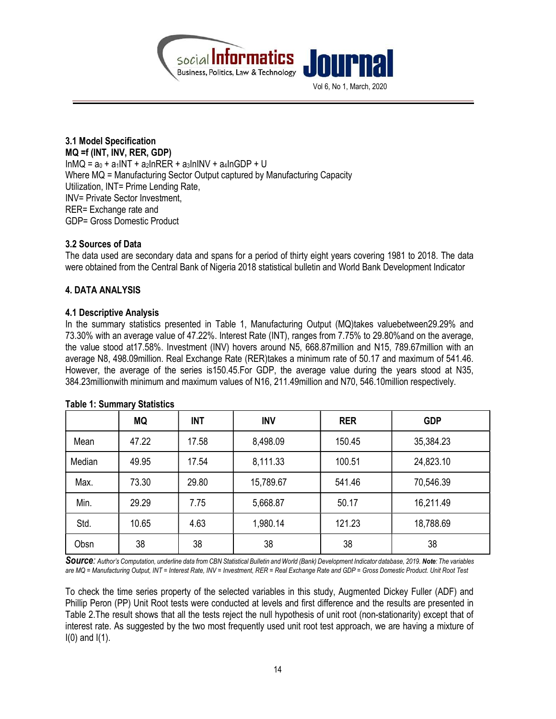



## 3.1 Model Specification MQ =f (INT, INV, RER, GDP)  $InMQ = a_0 + a_1INT + a_2InRER + a_3InINV + a_4InGDP + U$ Where MQ = Manufacturing Sector Output captured by Manufacturing Capacity Utilization, INT= Prime Lending Rate, INV= Private Sector Investment, RER= Exchange rate and GDP= Gross Domestic Product

## 3.2 Sources of Data

The data used are secondary data and spans for a period of thirty eight years covering 1981 to 2018. The data were obtained from the Central Bank of Nigeria 2018 statistical bulletin and World Bank Development Indicator

## 4. DATA ANALYSIS

#### 4.1 Descriptive Analysis

In the summary statistics presented in Table 1, Manufacturing Output (MQ)takes valuebetween29.29% and 73.30% with an average value of 47.22%. Interest Rate (INT), ranges from 7.75% to 29.80%and on the average, the value stood at17.58%. Investment (INV) hovers around N5, 668.87million and N15, 789.67million with an average N8, 498.09million. Real Exchange Rate (RER)takes a minimum rate of 50.17 and maximum of 541.46. However, the average of the series is150.45.For GDP, the average value during the years stood at N35, 384.23millionwith minimum and maximum values of N16, 211.49million and N70, 546.10million respectively.

|        | <b>MQ</b> | <b>INT</b> | <b>INV</b> | <b>RER</b> | <b>GDP</b> |
|--------|-----------|------------|------------|------------|------------|
| Mean   | 47.22     | 17.58      | 8,498.09   | 150.45     | 35,384.23  |
| Median | 49.95     | 17.54      | 8,111.33   | 100.51     | 24,823.10  |
| Max.   | 73.30     | 29.80      | 15,789.67  | 541.46     | 70,546.39  |
| Min.   | 29.29     | 7.75       | 5,668.87   | 50.17      | 16,211.49  |
| Std.   | 10.65     | 4.63       | 1,980.14   | 121.23     | 18,788.69  |
| Obsn   | 38        | 38         | 38         | 38         | 38         |

#### Table 1: Summary Statistics

SOUICE: Author's Computation, underline data from CBN Statistical Bulletin and World (Bank) Development Indicator database, 2019, Note: The variables are MQ = Manufacturing Output, INT = Interest Rate, INV = Investment, RER = Real Exchange Rate and GDP = Gross Domestic Product. Unit Root Test

To check the time series property of the selected variables in this study, Augmented Dickey Fuller (ADF) and Phillip Peron (PP) Unit Root tests were conducted at levels and first difference and the results are presented in Table 2.The result shows that all the tests reject the null hypothesis of unit root (non-stationarity) except that of interest rate. As suggested by the two most frequently used unit root test approach, we are having a mixture of  $I(0)$  and  $I(1)$ .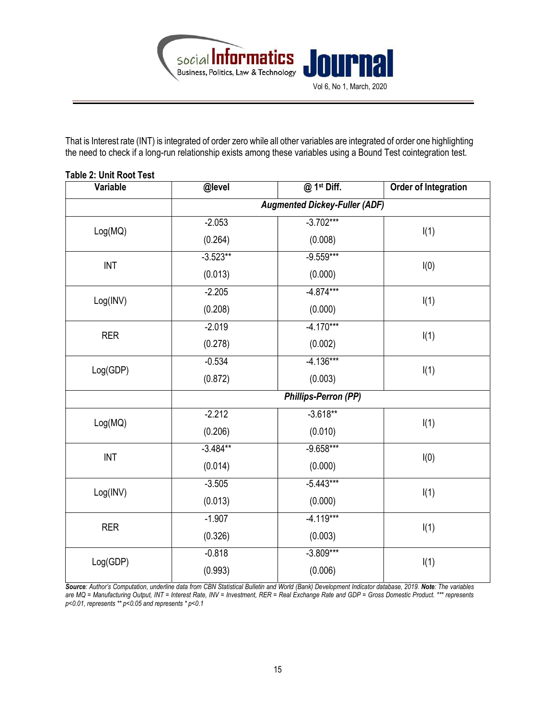

That is Interest rate (INT) is integrated of order zero while all other variables are integrated of order one highlighting the need to check if a long-run relationship exists among these variables using a Bound Test cointegration test.

| Variable                    | @level                               | @ 1st Diff. | Order of Integration |  |  |
|-----------------------------|--------------------------------------|-------------|----------------------|--|--|
|                             | <b>Augmented Dickey-Fuller (ADF)</b> |             |                      |  |  |
|                             | $-2.053$                             | $-3.702***$ |                      |  |  |
| Log(MQ)                     | (0.264)                              | (0.008)     | I(1)                 |  |  |
| $\ensuremath{\mathsf{INT}}$ | $-3.523**$                           | $-9.559***$ | I(0)                 |  |  |
|                             | (0.013)                              | (0.000)     |                      |  |  |
|                             | $-2.205$                             | $-4.874***$ |                      |  |  |
| Log(INV)                    | (0.208)                              | (0.000)     | I(1)                 |  |  |
|                             | $-2.019$                             | $-4.170***$ |                      |  |  |
| <b>RER</b>                  | (0.278)                              | (0.002)     | I(1)                 |  |  |
|                             | $-0.534$                             | $-4.136***$ |                      |  |  |
| Log(GDP)                    | (0.872)                              | (0.003)     | I(1)                 |  |  |
|                             | Phillips-Perron (PP)                 |             |                      |  |  |
|                             | $-2.212$                             | $-3.618**$  |                      |  |  |
| Log(MQ)                     | (0.206)                              | (0.010)     | I(1)                 |  |  |
| <b>INT</b>                  | $-3.484***$                          | $-9.658***$ |                      |  |  |
|                             | (0.014)                              | (0.000)     | I(0)                 |  |  |
|                             | $-3.505$                             | $-5.443***$ |                      |  |  |
| Log(INV)                    | (0.013)                              | (0.000)     | I(1)                 |  |  |
| <b>RER</b>                  | $-1.907$                             | $-4.119***$ |                      |  |  |
|                             | (0.326)                              | (0.003)     | I(1)                 |  |  |
|                             | $-0.818$                             | $-3.809***$ |                      |  |  |
| Log(GDP)                    | (0.993)                              | (0.006)     | I(1)                 |  |  |

## Table 2: Unit Root Test

Source: Author's Computation, underline data from CBN Statistical Bulletin and World (Bank) Development Indicator database, 2019. Note: The variables are MQ = Manufacturing Output, INT = Interest Rate, INV = Investment, RER = Real Exchange Rate and GDP = Gross Domestic Product. \*\*\* represents p<0.01, represents \*\* p<0.05 and represents \* p<0.1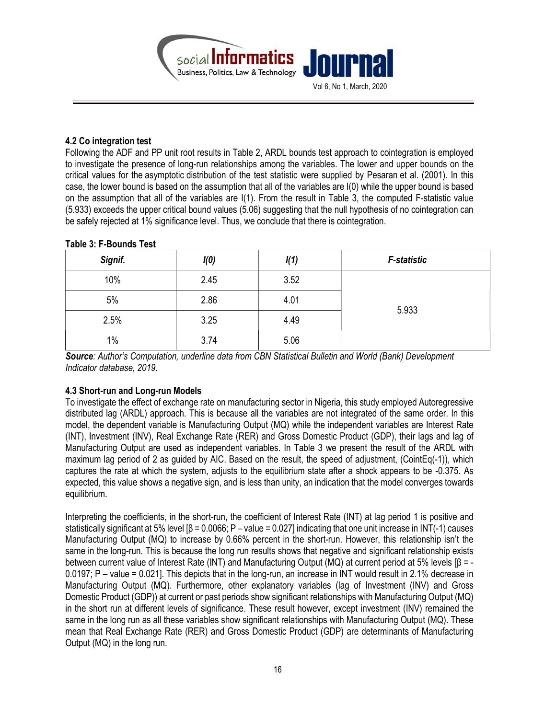

## 4.2 Co integration test

Following the ADF and PP unit root results in Table 2, ARDL bounds test approach to cointegration is employed to investigate the presence of long-run relationships among the variables. The lower and upper bounds on the critical values for the asymptotic distribution of the test statistic were supplied by Pesaran et al. (2001). In this case, the lower bound is based on the assumption that all of the variables are I(0) while the upper bound is based on the assumption that all of the variables are I(1). From the result in Table 3, the computed F-statistic value (5.933) exceeds the upper critical bound values (5.06) suggesting that the null hypothesis of no cointegration can be safely rejected at 1% significance level. Thus, we conclude that there is cointegration.

| Signif. | I(0) | I(1) | <b>F-statistic</b> |  |
|---------|------|------|--------------------|--|
| 10%     | 2.45 | 3.52 | 5.933              |  |
| 5%      | 2.86 | 4.01 |                    |  |
| 2.5%    | 3.25 | 4.49 |                    |  |
| 1%      | 3.74 | 5.06 |                    |  |

#### Table 3: F-Bounds Test

Source: Author's Computation, underline data from CBN Statistical Bulletin and World (Bank) Development Indicator database, 2019.

# 4.3 Short-run and Long-run Models

To investigate the effect of exchange rate on manufacturing sector in Nigeria, this study employed Autoregressive distributed lag (ARDL) approach. This is because all the variables are not integrated of the same order. In this model, the dependent variable is Manufacturing Output (MQ) while the independent variables are Interest Rate (INT), Investment (INV), Real Exchange Rate (RER) and Gross Domestic Product (GDP), their lags and lag of Manufacturing Output are used as independent variables. In Table 3 we present the result of the ARDL with maximum lag period of 2 as guided by AIC. Based on the result, the speed of adjustment, (CointEq(-1)), which captures the rate at which the system, adjusts to the equilibrium state after a shock appears to be -0.375. As expected, this value shows a negative sign, and is less than unity, an indication that the model converges towards equilibrium.

Interpreting the coefficients, in the short-run, the coefficient of Interest Rate (INT) at lag period 1 is positive and statistically significant at 5% level  $\beta$  = 0.0066; P – value = 0.027] indicating that one unit increase in INT(-1) causes Manufacturing Output (MQ) to increase by 0.66% percent in the short-run. However, this relationship isn't the same in the long-run. This is because the long run results shows that negative and significant relationship exists between current value of Interest Rate (INT) and Manufacturing Output (MQ) at current period at 5% levels [β = - 0.0197; P – value = 0.021]. This depicts that in the long-run, an increase in INT would result in 2.1% decrease in Manufacturing Output (MQ). Furthermore, other explanatory variables (lag of Investment (INV) and Gross Domestic Product (GDP)) at current or past periods show significant relationships with Manufacturing Output (MQ) in the short run at different levels of significance. These result however, except investment (INV) remained the same in the long run as all these variables show significant relationships with Manufacturing Output (MQ). These mean that Real Exchange Rate (RER) and Gross Domestic Product (GDP) are determinants of Manufacturing Output (MQ) in the long run.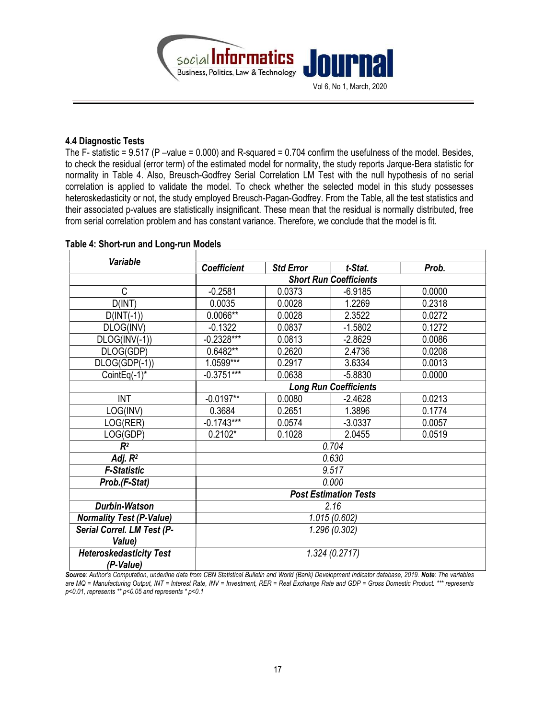

#### 4.4 Diagnostic Tests

The F- statistic =  $9.517$  (P –value = 0.000) and R-squared = 0.704 confirm the usefulness of the model. Besides, to check the residual (error term) of the estimated model for normality, the study reports Jarque-Bera statistic for normality in Table 4. Also, Breusch-Godfrey Serial Correlation LM Test with the null hypothesis of no serial correlation is applied to validate the model. To check whether the selected model in this study possesses heteroskedasticity or not, the study employed Breusch-Pagan-Godfrey. From the Table, all the test statistics and their associated p-values are statistically insignificant. These mean that the residual is normally distributed, free from serial correlation problem and has constant variance. Therefore, we conclude that the model is fit.

| <b>Variable</b>                 |                               |                  |           |        |  |  |
|---------------------------------|-------------------------------|------------------|-----------|--------|--|--|
|                                 | <b>Coefficient</b>            | <b>Std Error</b> | t-Stat.   | Prob.  |  |  |
|                                 | <b>Short Run Coefficients</b> |                  |           |        |  |  |
| C                               | $-0.2581$                     | 0.0373           | $-6.9185$ | 0.0000 |  |  |
| D(INT)                          | 0.0035                        | 0.0028           | 1.2269    | 0.2318 |  |  |
| $D(INT(-1))$                    | 0.0066**                      | 0.0028           | 2.3522    | 0.0272 |  |  |
| DLOG(INV)                       | $-0.1322$                     | 0.0837           | $-1.5802$ | 0.1272 |  |  |
| $DLOG(INV(-1))$                 | $-0.2328***$                  | 0.0813           | $-2.8629$ | 0.0086 |  |  |
| DLOG(GDP)                       | 0.6482**                      | 0.2620           | 2.4736    | 0.0208 |  |  |
| $DLOG(GDP(-1))$                 | $1.0599***$                   | 0.2917           | 3.6334    | 0.0013 |  |  |
| CointEq $(-1)^*$                | $-0.3751***$                  | 0.0638           | $-5.8830$ | 0.0000 |  |  |
|                                 | <b>Long Run Coefficients</b>  |                  |           |        |  |  |
| <b>INT</b>                      | $-0.0197**$                   | 0.0080           | $-2.4628$ | 0.0213 |  |  |
| LOG(INV)                        | 0.3684                        | 0.2651           | 1.3896    | 0.1774 |  |  |
| LOG(RER)                        | $-0.1743***$                  | 0.0574           | $-3.0337$ | 0.0057 |  |  |
| LOG(GDP)                        | $0.2102*$                     | 0.1028           | 2.0455    | 0.0519 |  |  |
| R <sup>2</sup>                  | 0.704                         |                  |           |        |  |  |
| Adj. $R^2$                      | 0.630                         |                  |           |        |  |  |
| <b>F-Statistic</b>              | 9.517                         |                  |           |        |  |  |
| Prob.(F-Stat)                   | 0.000                         |                  |           |        |  |  |
|                                 | <b>Post Estimation Tests</b>  |                  |           |        |  |  |
| <b>Durbin-Watson</b>            | 2.16                          |                  |           |        |  |  |
| <b>Normality Test (P-Value)</b> | 1.015(0.602)                  |                  |           |        |  |  |
| Serial Correl. LM Test (P-      | 1.296 (0.302)                 |                  |           |        |  |  |
| Value)                          |                               |                  |           |        |  |  |
| <b>Heteroskedasticity Test</b>  | 1.324(0.2717)                 |                  |           |        |  |  |
| (P-Value)                       |                               |                  |           |        |  |  |

# Table 4: Short-run and Long-run Models

Source: Author's Computation, underline data from CBN Statistical Bulletin and World (Bank) Development Indicator database, 2019. Note: The variables are MQ = Manufacturing Output, INT = Interest Rate, INV = Investment, RER = Real Exchange Rate and GDP = Gross Domestic Product. \*\*\* represents p<0.01, represents \*\* p<0.05 and represents \* p<0.1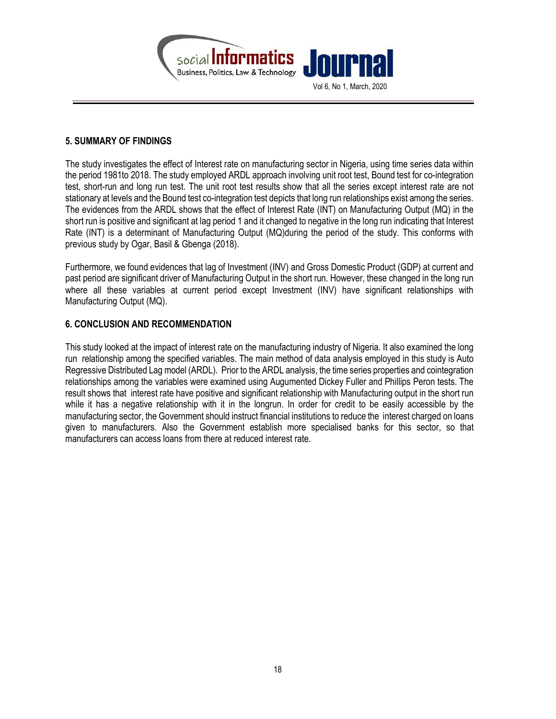

## 5. SUMMARY OF FINDINGS

The study investigates the effect of Interest rate on manufacturing sector in Nigeria, using time series data within the period 1981to 2018. The study employed ARDL approach involving unit root test, Bound test for co-integration test, short-run and long run test. The unit root test results show that all the series except interest rate are not stationary at levels and the Bound test co-integration test depicts that long run relationships exist among the series. The evidences from the ARDL shows that the effect of Interest Rate (INT) on Manufacturing Output (MQ) in the short run is positive and significant at lag period 1 and it changed to negative in the long run indicating that Interest Rate (INT) is a determinant of Manufacturing Output (MQ)during the period of the study. This conforms with previous study by Ogar, Basil & Gbenga (2018).

Furthermore, we found evidences that lag of Investment (INV) and Gross Domestic Product (GDP) at current and past period are significant driver of Manufacturing Output in the short run. However, these changed in the long run where all these variables at current period except Investment (INV) have significant relationships with Manufacturing Output (MQ).

# 6. CONCLUSION AND RECOMMENDATION

This study looked at the impact of interest rate on the manufacturing industry of Nigeria. It also examined the long run relationship among the specified variables. The main method of data analysis employed in this study is Auto Regressive Distributed Lag model (ARDL). Prior to the ARDL analysis, the time series properties and cointegration relationships among the variables were examined using Augumented Dickey Fuller and Phillips Peron tests. The result shows that interest rate have positive and significant relationship with Manufacturing output in the short run while it has a negative relationship with it in the longrun. In order for credit to be easily accessible by the manufacturing sector, the Government should instruct financial institutions to reduce the interest charged on loans given to manufacturers. Also the Government establish more specialised banks for this sector, so that manufacturers can access loans from there at reduced interest rate.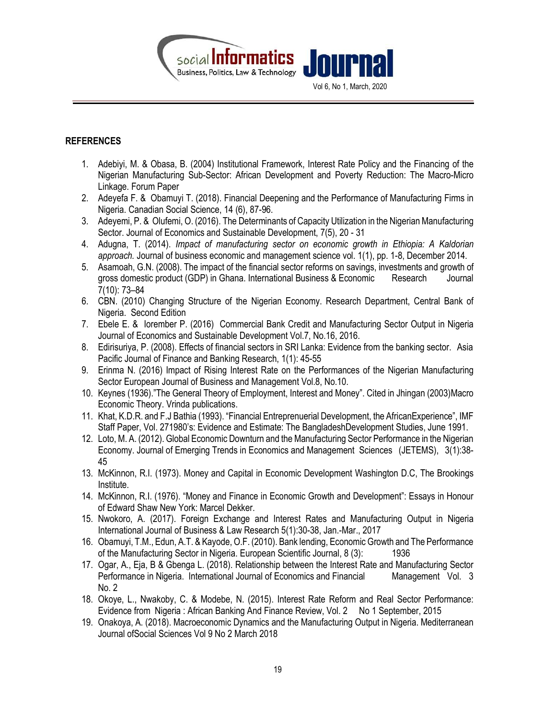

## **REFERENCES**

- 1. Adebiyi, M. & Obasa, B. (2004) Institutional Framework, Interest Rate Policy and the Financing of the Nigerian Manufacturing Sub-Sector: African Development and Poverty Reduction: The Macro-Micro Linkage. Forum Paper
- 2. Adeyefa F. & Obamuyi T. (2018). Financial Deepening and the Performance of Manufacturing Firms in Nigeria. Canadian Social Science, 14 (6), 87-96.
- 3. Adeyemi, P. & Olufemi, O. (2016). The Determinants of Capacity Utilization in the Nigerian Manufacturing Sector. Journal of Economics and Sustainable Development, 7(5), 20 - 31
- 4. Adugna, T. (2014). Impact of manufacturing sector on economic growth in Ethiopia: A Kaldorian approach. Journal of business economic and management science vol. 1(1), pp. 1-8, December 2014.
- 5. Asamoah, G.N. (2008). The impact of the financial sector reforms on savings, investments and growth of gross domestic product (GDP) in Ghana. International Business & Economic Research Journal 7(10): 73–84
- 6. CBN. (2010) Changing Structure of the Nigerian Economy. Research Department, Central Bank of Nigeria. Second Edition
- 7. Ebele E. & Iorember P. (2016) Commercial Bank Credit and Manufacturing Sector Output in Nigeria Journal of Economics and Sustainable Development Vol.7, No.16, 2016.
- 8. Edirisuriya, P. (2008). Effects of financial sectors in SRI Lanka: Evidence from the banking sector. Asia Pacific Journal of Finance and Banking Research, 1(1): 45-55
- 9. Erinma N. (2016) Impact of Rising Interest Rate on the Performances of the Nigerian Manufacturing Sector European Journal of Business and Management Vol.8, No.10.
- 10. Keynes (1936)."The General Theory of Employment, Interest and Money". Cited in Jhingan (2003)Macro Economic Theory. Vrinda publications.
- 11. Khat, K.D.R. and F.J Bathia (1993). "Financial Entreprenuerial Development, the AfricanExperience", IMF Staff Paper, Vol. 271980's: Evidence and Estimate: The BangladeshDevelopment Studies, June 1991.
- 12. Loto, M. A. (2012). Global Economic Downturn and the Manufacturing Sector Performance in the Nigerian Economy. Journal of Emerging Trends in Economics and Management Sciences (JETEMS), 3(1):38- 45
- 13. McKinnon, R.I. (1973). Money and Capital in Economic Development Washington D.C, The Brookings Institute.
- 14. McKinnon, R.I. (1976). "Money and Finance in Economic Growth and Development": Essays in Honour of Edward Shaw New York: Marcel Dekker.
- 15. Nwokoro, A. (2017). Foreign Exchange and Interest Rates and Manufacturing Output in Nigeria International Journal of Business & Law Research 5(1):30-38, Jan.-Mar., 2017
- 16. Obamuyi, T.M., Edun, A.T. & Kayode, O.F. (2010). Bank lending, Economic Growth and The Performance of the Manufacturing Sector in Nigeria. European Scientific Journal, 8 (3): 1936
- 17. Ogar, A., Eja, B & Gbenga L. (2018). Relationship between the Interest Rate and Manufacturing Sector Performance in Nigeria. International Journal of Economics and Financial Management Vol. 3 No. 2
- 18. Okoye, L., Nwakoby, C. & Modebe, N. (2015). Interest Rate Reform and Real Sector Performance: Evidence from Nigeria : African Banking And Finance Review, Vol. 2 No 1 September, 2015
- 19. Onakoya, A. (2018). Macroeconomic Dynamics and the Manufacturing Output in Nigeria. Mediterranean Journal ofSocial Sciences Vol 9 No 2 March 2018